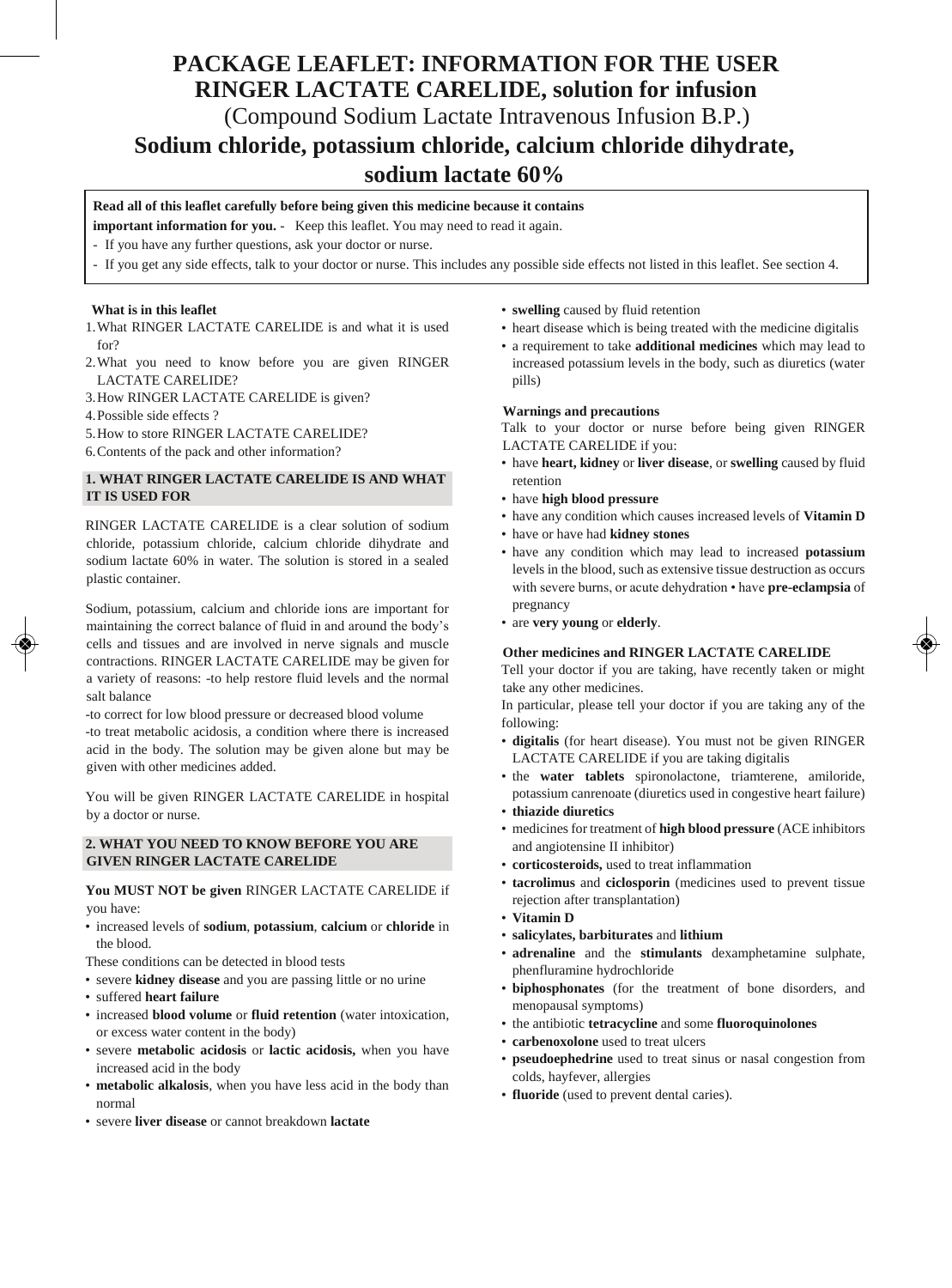# **PACKAGE LEAFLET: INFORMATION FOR THE USER RINGER LACTATE CARELIDE, solution for infusion** (Compound Sodium Lactate Intravenous Infusion B.P.) **Sodium chloride, potassium chloride, calcium chloride dihydrate, sodium lactate 60%**

# **Read all of this leaflet carefully before being given this medicine because it contains**

**important information for you.** - Keep this leaflet. You may need to read it again.

- If you have any further questions, ask your doctor or nurse.
- If you get any side effects, talk to your doctor or nurse. This includes any possible side effects not listed in this leaflet. See section 4.

## **What is in this leaflet**

- 1.What RINGER LACTATE CARELIDE is and what it is used for?
- 2.What you need to know before you are given RINGER LACTATE CARELIDE?
- 3.How RINGER LACTATE CARELIDE is given?
- 4.Possible side effects ?
- 5.How to store RINGER LACTATE CARELIDE?
- 6.Contents of the pack and other information?

## **1. WHAT RINGER LACTATE CARELIDE IS AND WHAT IT IS USED FOR**

RINGER LACTATE CARELIDE is a clear solution of sodium chloride, potassium chloride, calcium chloride dihydrate and sodium lactate 60% in water. The solution is stored in a sealed plastic container.

Sodium, potassium, calcium and chloride ions are important for maintaining the correct balance of fluid in and around the body's cells and tissues and are involved in nerve signals and muscle contractions. RINGER LACTATE CARELIDE may be given for a variety of reasons: -to help restore fluid levels and the normal salt balance

-to correct for low blood pressure or decreased blood volume -to treat metabolic acidosis, a condition where there is increased acid in the body. The solution may be given alone but may be given with other medicines added.

You will be given RINGER LACTATE CARELIDE in hospital by a doctor or nurse.

## **2. WHAT YOU NEED TO KNOW BEFORE YOU ARE GIVEN RINGER LACTATE CARELIDE**

**You MUST NOT be given** RINGER LACTATE CARELIDE if you have:

- increased levels of **sodium**, **potassium**, **calcium** or **chloride** in the blood.
- These conditions can be detected in blood tests
- severe **kidney disease** and you are passing little or no urine
- suffered **heart failure**
- increased **blood volume** or **fluid retention** (water intoxication, or excess water content in the body)
- severe **metabolic acidosis** or **lactic acidosis,** when you have increased acid in the body
- **metabolic alkalosis**, when you have less acid in the body than normal
- severe **liver disease** or cannot breakdown **lactate**
- **swelling** caused by fluid retention
- heart disease which is being treated with the medicine digitalis
- a requirement to take **additional medicines** which may lead to increased potassium levels in the body, such as diuretics (water pills)

#### **Warnings and precautions**

Talk to your doctor or nurse before being given RINGER LACTATE CARELIDE if you:

- have **heart, kidney** or **liver disease**, or **swelling** caused by fluid retention
- have **high blood pressure**
- have any condition which causes increased levels of **Vitamin D**
- have or have had **kidney stones**
- have any condition which may lead to increased **potassium**  levels in the blood, such as extensive tissue destruction as occurs with severe burns, or acute dehydration • have **pre-eclampsia** of pregnancy
- are **very young** or **elderly**.

## **Other medicines and RINGER LACTATE CARELIDE**

Tell your doctor if you are taking, have recently taken or might take any other medicines.

In particular, please tell your doctor if you are taking any of the following:

- **digitalis** (for heart disease). You must not be given RINGER LACTATE CARELIDE if you are taking digitalis
- the **water tablets** spironolactone, triamterene, amiloride, potassium canrenoate (diuretics used in congestive heart failure)
- **thiazide diuretics**
- medicines for treatment of **high blood pressure** (ACE inhibitors and angiotensine II inhibitor)
- **corticosteroids,** used to treat inflammation
- **tacrolimus** and **ciclosporin** (medicines used to prevent tissue rejection after transplantation)
- **Vitamin D**
- **salicylates, barbiturates** and **lithium**
- **adrenaline** and the **stimulants** dexamphetamine sulphate, phenfluramine hydrochloride
- **biphosphonates** (for the treatment of bone disorders, and menopausal symptoms)
- the antibiotic **tetracycline** and some **fluoroquinolones**
- **carbenoxolone** used to treat ulcers
- **pseudoephedrine** used to treat sinus or nasal congestion from colds, hayfever, allergies
- **fluoride** (used to prevent dental caries).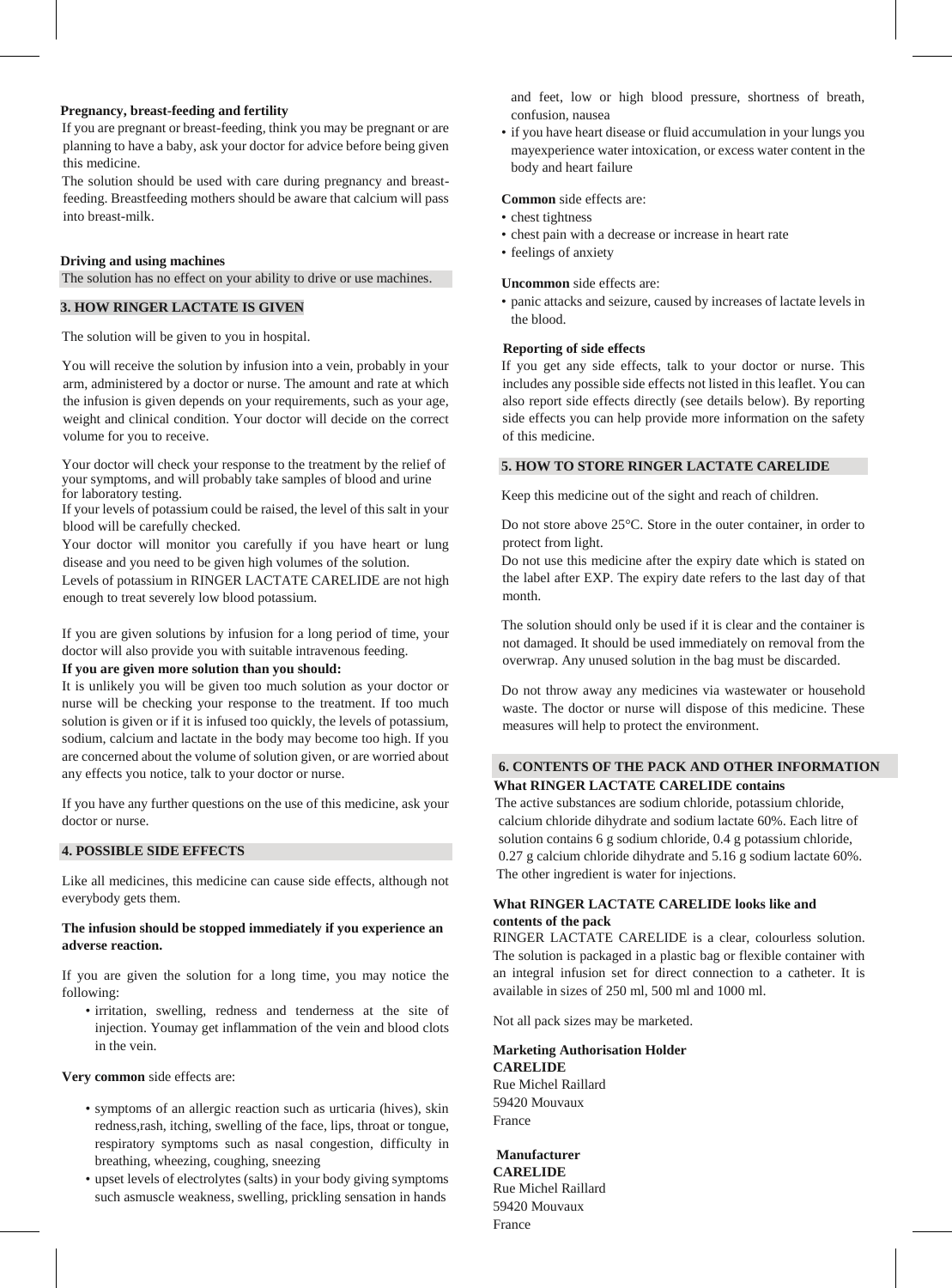### **Pregnancy, breast-feeding and fertility**

If you are pregnant or breast-feeding, think you may be pregnant or are planning to have a baby, ask your doctor for advice before being given this medicine.

The solution should be used with care during pregnancy and breastfeeding. Breastfeeding mothers should be aware that calcium will pass into breast-milk.

## **Driving and using machines**

The solution has no effect on your ability to drive or use machines.

# **3. HOW RINGER LACTATE IS GIVEN**

The solution will be given to you in hospital.

You will receive the solution by infusion into a vein, probably in your arm, administered by a doctor or nurse. The amount and rate at which the infusion is given depends on your requirements, such as your age, weight and clinical condition. Your doctor will decide on the correct volume for you to receive.

Your doctor will check your response to the treatment by the relief of your symptoms, and will probably take samples of blood and urine for laboratory testing.

If your levels of potassium could be raised, the level of this salt in your blood will be carefully checked.

Your doctor will monitor you carefully if you have heart or lung disease and you need to be given high volumes of the solution.

Levels of potassium in RINGER LACTATE CARELIDE are not high enough to treat severely low blood potassium.

If you are given solutions by infusion for a long period of time, your doctor will also provide you with suitable intravenous feeding.

#### **If you are given more solution than you should:**

It is unlikely you will be given too much solution as your doctor or nurse will be checking your response to the treatment. If too much solution is given or if it is infused too quickly, the levels of potassium, sodium, calcium and lactate in the body may become too high. If you are concerned about the volume of solution given, or are worried about any effects you notice, talk to your doctor or nurse.

If you have any further questions on the use of this medicine, ask your doctor or nurse.

# **4. POSSIBLE SIDE EFFECTS**

Like all medicines, this medicine can cause side effects, although not everybody gets them.

## **The infusion should be stopped immediately if you experience an adverse reaction.**

If you are given the solution for a long time, you may notice the following:

• irritation, swelling, redness and tenderness at the site of injection. Youmay get inflammation of the vein and blood clots in the vein.

**Very common** side effects are:

- symptoms of an allergic reaction such as urticaria (hives), skin redness,rash, itching, swelling of the face, lips, throat or tongue, respiratory symptoms such as nasal congestion, difficulty in breathing, wheezing, coughing, sneezing
- upset levels of electrolytes (salts) in your body giving symptoms such asmuscle weakness, swelling, prickling sensation in hands

and feet, low or high blood pressure, shortness of breath, confusion, nausea

• if you have heart disease or fluid accumulation in your lungs you mayexperience water intoxication, or excess water content in the body and heart failure

### **Common** side effects are:

- chest tightness
- chest pain with a decrease or increase in heart rate
- feelings of anxiety

## **Uncommon** side effects are:

• panic attacks and seizure, caused by increases of lactate levels in the blood.

#### **Reporting of side effects**

If you get any side effects, talk to your doctor or nurse. This includes any possible side effects not listed in this leaflet. You can also report side effects directly (see details below). By reporting side effects you can help provide more information on the safety of this medicine.

# **5. HOW TO STORE RINGER LACTATE CARELIDE**

Keep this medicine out of the sight and reach of children.

Do not store above 25°C. Store in the outer container, in order to protect from light.

Do not use this medicine after the expiry date which is stated on the label after EXP. The expiry date refers to the last day of that month.

The solution should only be used if it is clear and the container is not damaged. It should be used immediately on removal from the overwrap. Any unused solution in the bag must be discarded.

Do not throw away any medicines via wastewater or household waste. The doctor or nurse will dispose of this medicine. These measures will help to protect the environment.

# **6. CONTENTS OF THE PACK AND OTHER INFORMATION What RINGER LACTATE CARELIDE contains**

 The active substances are sodium chloride, potassium chloride, calcium chloride dihydrate and sodium lactate 60%. Each litre of solution contains 6 g sodium chloride, 0.4 g potassium chloride, 0.27 g calcium chloride dihydrate and 5.16 g sodium lactate 60%. The other ingredient is water for injections.

# **What RINGER LACTATE CARELIDE looks like and contents of the pack**

RINGER LACTATE CARELIDE is a clear, colourless solution. The solution is packaged in a plastic bag or flexible container with an integral infusion set for direct connection to a catheter. It is available in sizes of 250 ml, 500 ml and 1000 ml.

Not all pack sizes may be marketed.

#### **Marketing Authorisation Holder CARELIDE**

Rue Michel Raillard 59420 Mouvaux France

**Manufacturer CARELIDE** Rue Michel Raillard 59420 Mouvaux France